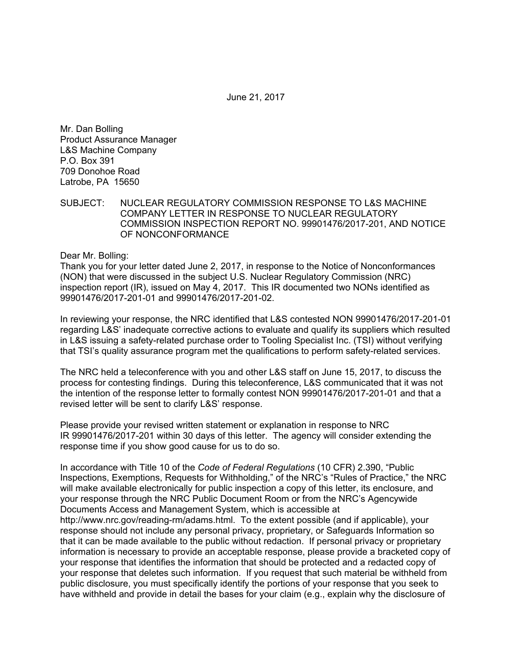June 21, 2017

Mr. Dan Bolling Product Assurance Manager L&S Machine Company P.O. Box 391 709 Donohoe Road Latrobe, PA 15650

SUBJECT: NUCLEAR REGULATORY COMMISSION RESPONSE TO L&S MACHINE COMPANY LETTER IN RESPONSE TO NUCLEAR REGULATORY COMMISSION INSPECTION REPORT NO. 99901476/2017-201, AND NOTICE OF NONCONFORMANCE

Dear Mr. Bolling:

Thank you for your letter dated June 2, 2017, in response to the Notice of Nonconformances (NON) that were discussed in the subject U.S. Nuclear Regulatory Commission (NRC) inspection report (IR), issued on May 4, 2017. This IR documented two NONs identified as 99901476/2017-201-01 and 99901476/2017-201-02.

In reviewing your response, the NRC identified that L&S contested NON 99901476/2017-201-01 regarding L&S' inadequate corrective actions to evaluate and qualify its suppliers which resulted in L&S issuing a safety-related purchase order to Tooling Specialist Inc. (TSI) without verifying that TSI's quality assurance program met the qualifications to perform safety-related services.

The NRC held a teleconference with you and other L&S staff on June 15, 2017, to discuss the process for contesting findings. During this teleconference, L&S communicated that it was not the intention of the response letter to formally contest NON 99901476/2017-201-01 and that a revised letter will be sent to clarify L&S' response.

Please provide your revised written statement or explanation in response to NRC IR 99901476/2017-201 within 30 days of this letter. The agency will consider extending the response time if you show good cause for us to do so.

In accordance with Title 10 of the *Code of Federal Regulations* (10 CFR) 2.390, "Public Inspections, Exemptions, Requests for Withholding," of the NRC's "Rules of Practice," the NRC will make available electronically for public inspection a copy of this letter, its enclosure, and your response through the NRC Public Document Room or from the NRC's Agencywide Documents Access and Management System, which is accessible at http://www.nrc.gov/reading-rm/adams.html. To the extent possible (and if applicable), your response should not include any personal privacy, proprietary, or Safeguards Information so that it can be made available to the public without redaction. If personal privacy or proprietary information is necessary to provide an acceptable response, please provide a bracketed copy of your response that identifies the information that should be protected and a redacted copy of your response that deletes such information. If you request that such material be withheld from public disclosure, you must specifically identify the portions of your response that you seek to have withheld and provide in detail the bases for your claim (e.g., explain why the disclosure of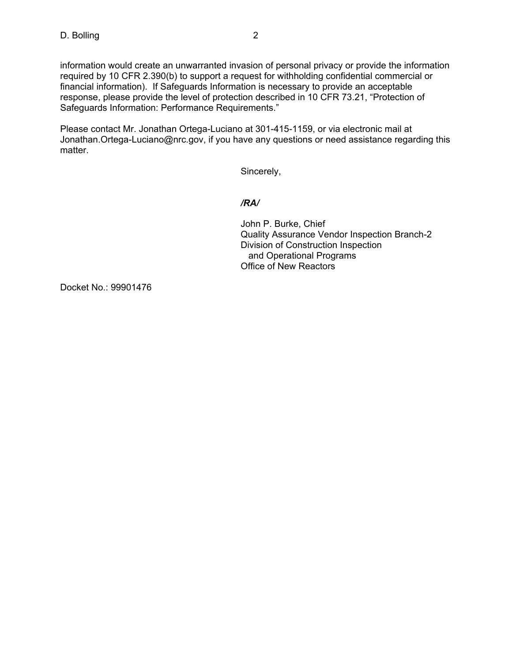information would create an unwarranted invasion of personal privacy or provide the information required by 10 CFR 2.390(b) to support a request for withholding confidential commercial or financial information). If Safeguards Information is necessary to provide an acceptable response, please provide the level of protection described in 10 CFR 73.21, "Protection of Safeguards Information: Performance Requirements."

Please contact Mr. Jonathan Ortega-Luciano at 301-415-1159, or via electronic mail at Jonathan.Ortega-Luciano@nrc.gov, if you have any questions or need assistance regarding this matter.

Sincerely,

## */RA/*

John P. Burke, Chief Quality Assurance Vendor Inspection Branch-2 Division of Construction Inspection and Operational Programs Office of New Reactors

Docket No.: 99901476